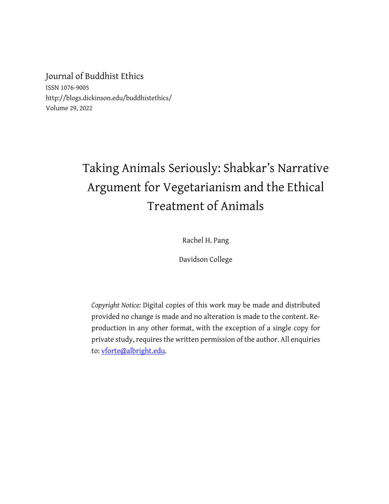Journal of Buddhist Ethics ISSN 1076-9005 http://blogs.dickinson.edu/buddhistethics/ Volume 29, 2022

# Taking Animals Seriously: Shabkar's Narrative Argument for Vegetarianism and the Ethical Treatment of Animals

Rachel H. Pang

Davidson College

*Copyright Notice:* Digital copies of this work may be made and distributed provided no change is made and no alteration is made to the content. Reproduction in any other format, with the exception of a single copy for private study, requires the written permission of the author. All enquiries to: vforte@albright.edu.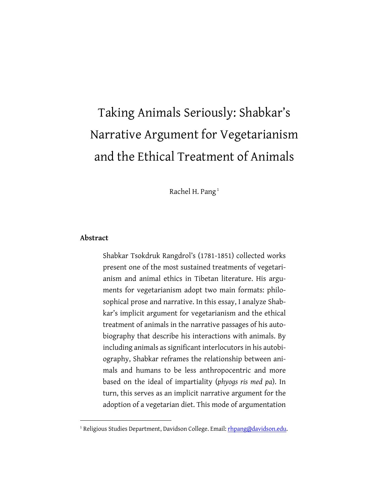# Taking Animals Seriously: Shabkar's Narrative Argument for Vegetarianism and the Ethical Treatment of Animals

Rachel H. Pang<sup>1</sup>

# **Abstract**

Shabkar Tsokdruk Rangdrol's (1781-1851) collected works present one of the most sustained treatments of vegetarianism and animal ethics in Tibetan literature. His arguments for vegetarianism adopt two main formats: philosophical prose and narrative. In this essay, I analyze Shabkar's implicit argument for vegetarianism and the ethical treatment of animals in the narrative passages of his autobiography that describe his interactions with animals. By including animals as significant interlocutors in his autobiography, Shabkar reframes the relationship between animals and humans to be less anthropocentric and more based on the ideal of impartiality (*phyogs ris med pa*). In turn, this serves as an implicit narrative argument for the adoption of a vegetarian diet. This mode of argumentation

<sup>&</sup>lt;sup>1</sup> Religious Studies Department, Davidson College. Email: rhpang@davidson.edu.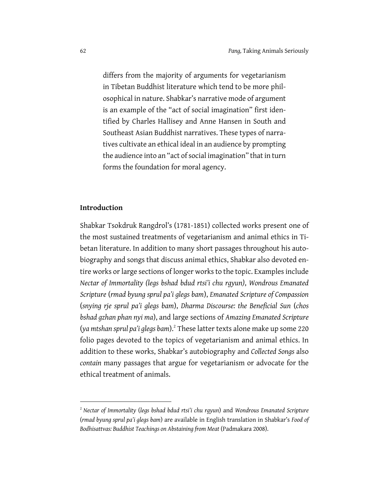differs from the majority of arguments for vegetarianism in Tibetan Buddhist literature which tend to be more philosophical in nature. Shabkar's narrative mode of argument is an example of the "act of social imagination" first identified by Charles Hallisey and Anne Hansen in South and Southeast Asian Buddhist narratives. These types of narratives cultivate an ethical ideal in an audience by prompting the audience into an "act of social imagination" that in turn forms the foundation for moral agency.

## **Introduction**

Shabkar Tsokdruk Rangdrol's (1781-1851) collected works present one of the most sustained treatments of vegetarianism and animal ethics in Tibetan literature. In addition to many short passages throughout his autobiography and songs that discuss animal ethics, Shabkar also devoted entire works or large sections of longer works to the topic. Examples include *Nectar of Immortality (legs bshad bdud rtsi'i chu rgyun)*, *Wondrous Emanated Scripture* (*rmad byung sprul pa'i glegs bam*), *Emanated Scripture of Compassion* (*snying rje sprul pa'i glegs bam*), *Dharma Discourse: the Beneficial Sun* (*chos bshad gzhan phan nyi ma*), and large sections of *Amazing Emanated Scripture* (*ya mtshan sprul pa'i glegs bam*).<sup>2</sup> These latter texts alone make up some 220 folio pages devoted to the topics of vegetarianism and animal ethics. In addition to these works, Shabkar's autobiography and *Collected Songs* also *contain* many passages that argue for vegetarianism or advocate for the ethical treatment of animals.

<sup>2</sup> *Nectar of Immortality* (*legs bshad bdud rtsi'i chu rgyun*) and *Wondrous Emanated Scripture* (*rmad byung sprul pa'i glegs bam*) are available in English translation in Shabkar's *Food of Bodhisattvas: Buddhist Teachings on Abstaining from Meat* (Padmakara 2008).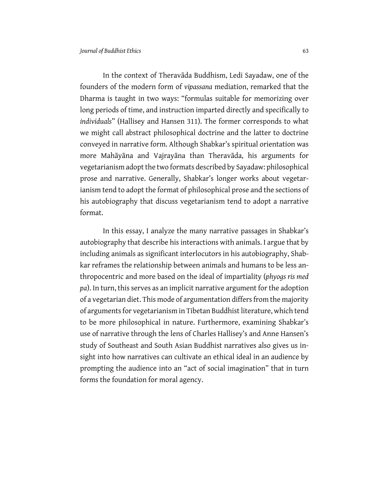In the context of Theravāda Buddhism, Ledi Sayadaw, one of the founders of the modern form of *vipassana* mediation, remarked that the Dharma is taught in two ways: "formulas suitable for memorizing over long periods of time, and instruction imparted directly and specifically to *individuals*" (Hallisey and Hansen 311). The former corresponds to what we might call abstract philosophical doctrine and the latter to doctrine conveyed in narrative form. Although Shabkar's spiritual orientation was more Mahāyāna and Vajrayāna than Theravāda, his arguments for vegetarianism adopt the two formats described by Sayadaw: philosophical prose and narrative. Generally, Shabkar's longer works about vegetarianism tend to adopt the format of philosophical prose and the sections of his autobiography that discuss vegetarianism tend to adopt a narrative format.

In this essay, I analyze the many narrative passages in Shabkar's autobiography that describe his interactions with animals. I argue that by including animals as significant interlocutors in his autobiography, Shabkar reframes the relationship between animals and humans to be less anthropocentric and more based on the ideal of impartiality (*phyogs ris med pa*). In turn, this serves as an implicit narrative argument for the adoption of a vegetarian diet. This mode of argumentation differs from the majority of arguments for vegetarianism in Tibetan Buddhist literature, which tend to be more philosophical in nature. Furthermore, examining Shabkar's use of narrative through the lens of Charles Hallisey's and Anne Hansen's study of Southeast and South Asian Buddhist narratives also gives us insight into how narratives can cultivate an ethical ideal in an audience by prompting the audience into an "act of social imagination" that in turn forms the foundation for moral agency.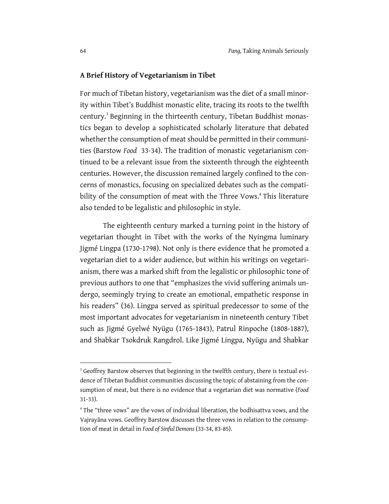#### **A Brief History of Vegetarianism in Tibet**

For much of Tibetan history, vegetarianism was the diet of a small minority within Tibet's Buddhist monastic elite, tracing its roots to the twelfth century.<sup>3</sup> Beginning in the thirteenth century, Tibetan Buddhist monastics began to develop a sophisticated scholarly literature that debated whether the consumption of meat should be permitted in their communities (Barstow *Food* 33-34). The tradition of monastic vegetarianism continued to be a relevant issue from the sixteenth through the eighteenth centuries. However, the discussion remained largely confined to the concerns of monastics, focusing on specialized debates such as the compatibility of the consumption of meat with the Three Vows.<sup>4</sup> This literature also tended to be legalistic and philosophic in style.

The eighteenth century marked a turning point in the history of vegetarian thought in Tibet with the works of the Nyingma luminary Jigmé Lingpa (1730-1798). Not only is there evidence that he promoted a vegetarian diet to a wider audience, but within his writings on vegetarianism, there was a marked shift from the legalistic or philosophic tone of previous authors to one that "emphasizes the vivid suffering animals undergo, seemingly trying to create an emotional, empathetic response in his readers" (36). Lingpa served as spiritual predecessor to some of the most important advocates for vegetarianism in nineteenth century Tibet such as Jigmé Gyelwé Nyügu (1765-1843), Patrul Rinpoche (1808-1887), and Shabkar Tsokdruk Rangdrol. Like Jigmé Lingpa, Nyügu and Shabkar

<sup>&</sup>lt;sup>3</sup> Geoffrey Barstow observes that beginning in the twelfth century, there is textual evidence of Tibetan Buddhist communities discussing the topic of abstaining from the consumption of meat, but there is no evidence that a vegetarian diet was normative (*Food*  31-33).

<sup>4</sup> The "three vows" are the vows of individual liberation, the bodhisattva vows, and the Vajrayāna vows. Geoffrey Barstow discusses the three vows in relation to the consumption of meat in detail in *Food of Sinful Demons* (33-34, 83-85).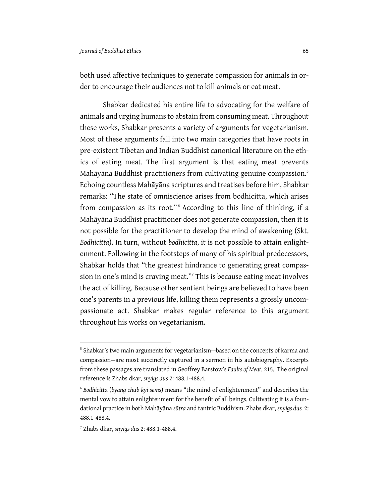both used affective techniques to generate compassion for animals in order to encourage their audiences not to kill animals or eat meat.

Shabkar dedicated his entire life to advocating for the welfare of animals and urging humans to abstain from consuming meat. Throughout these works, Shabkar presents a variety of arguments for vegetarianism. Most of these arguments fall into two main categories that have roots in pre-existent Tibetan and Indian Buddhist canonical literature on the ethics of eating meat. The first argument is that eating meat prevents Mahāyāna Buddhist practitioners from cultivating genuine compassion.<sup>5</sup> Echoing countless Mahāyāna scriptures and treatises before him, Shabkar remarks: "The state of omniscience arises from bodhicitta, which arises from compassion as its root."<sup>6</sup> According to this line of thinking, if a Mahāyāna Buddhist practitioner does not generate compassion, then it is not possible for the practitioner to develop the mind of awakening (Skt. *Bodhicitta*). In turn, without *bodhicitta*, it is not possible to attain enlightenment. Following in the footsteps of many of his spiritual predecessors, Shabkar holds that "the greatest hindrance to generating great compassion in one's mind is craving meat."<sup>7</sup> This is because eating meat involves the act of killing. Because other sentient beings are believed to have been one's parents in a previous life, killing them represents a grossly uncompassionate act. Shabkar makes regular reference to this argument throughout his works on vegetarianism.

<sup>5</sup> Shabkar's two main arguments for vegetarianism—based on the concepts of karma and compassion—are most succinctly captured in a sermon in his autobiography. Excerpts from these passages are translated in Geoffrey Barstow's *Faults of Meat*, 215. The original reference is Zhabs dkar, *snyigs dus* 2: 488.1-488.4.

<sup>6</sup> *Bodhicitta* (*byang chub kyi sems*) means "the mind of enlightenment" and describes the mental vow to attain enlightenment for the benefit of all beings. Cultivating it is a foundational practice in both Mahāyāna *sūtra* and tantric Buddhism. Zhabs dkar, *snyigs dus* 2: 488.1-488.4.

<sup>7</sup> Zhabs dkar, *snyigs dus* 2: 488.1-488.4.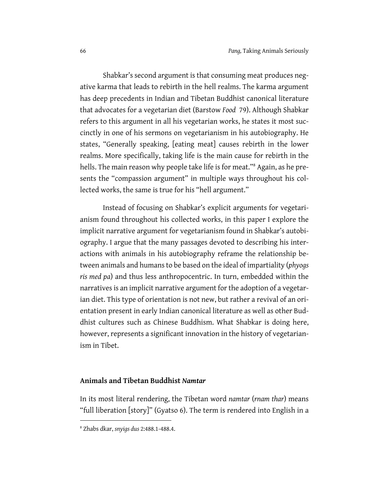Shabkar's second argument is that consuming meat produces negative karma that leads to rebirth in the hell realms. The karma argument has deep precedents in Indian and Tibetan Buddhist canonical literature that advocates for a vegetarian diet (Barstow *Food* 79). Although Shabkar refers to this argument in all his vegetarian works, he states it most succinctly in one of his sermons on vegetarianism in his autobiography. He states, "Generally speaking, [eating meat] causes rebirth in the lower realms. More specifically, taking life is the main cause for rebirth in the hells. The main reason why people take life is for meat."<sup>8</sup> Again, as he presents the "compassion argument" in multiple ways throughout his collected works, the same is true for his "hell argument."

Instead of focusing on Shabkar's explicit arguments for vegetarianism found throughout his collected works, in this paper I explore the implicit narrative argument for vegetarianism found in Shabkar's autobiography. I argue that the many passages devoted to describing his interactions with animals in his autobiography reframe the relationship between animals and humans to be based on the ideal of impartiality (*phyogs ris med pa*) and thus less anthropocentric. In turn, embedded within the narratives is an implicit narrative argument for the adoption of a vegetarian diet. This type of orientation is not new, but rather a revival of an orientation present in early Indian canonical literature as well as other Buddhist cultures such as Chinese Buddhism. What Shabkar is doing here, however, represents a significant innovation in the history of vegetarianism in Tibet.

#### **Animals and Tibetan Buddhist** *Namtar*

In its most literal rendering, the Tibetan word *namtar* (*rnam thar*) means "full liberation [story]" (Gyatso 6). The term is rendered into English in a

<sup>8</sup> Zhabs dkar, *snyigs dus* 2:488.1-488.4.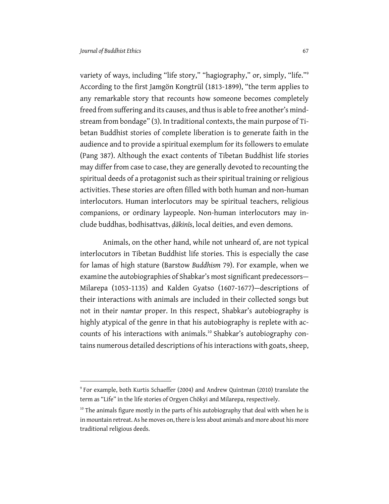variety of ways, including "life story," "hagiography," or, simply, "life."<sup>9</sup> According to the first Jamgön Kongtrül (1813-1899), "the term applies to any remarkable story that recounts how someone becomes completely freed from suffering and its causes, and thus is able to free another's mindstream from bondage" (3). In traditional contexts, the main purpose of Tibetan Buddhist stories of complete liberation is to generate faith in the audience and to provide a spiritual exemplum for its followers to emulate (Pang 387). Although the exact contents of Tibetan Buddhist life stories may differ from case to case, they are generally devoted to recounting the spiritual deeds of a protagonist such as their spiritual training or religious activities. These stories are often filled with both human and non-human interlocutors. Human interlocutors may be spiritual teachers, religious companions, or ordinary laypeople. Non-human interlocutors may include buddhas, bodhisattvas, *ḍākinīs*, local deities, and even demons.

Animals, on the other hand, while not unheard of, are not typical interlocutors in Tibetan Buddhist life stories. This is especially the case for lamas of high stature (Barstow *Buddhism* 79). For example, when we examine the autobiographies of Shabkar's most significant predecessors— Milarepa (1053-1135) and Kalden Gyatso (1607-1677)—descriptions of their interactions with animals are included in their collected songs but not in their *namtar* proper. In this respect, Shabkar's autobiography is highly atypical of the genre in that his autobiography is replete with accounts of his interactions with animals.<sup>10</sup> Shabkar's autobiography contains numerous detailed descriptions of his interactions with goats, sheep,

<sup>9</sup> For example, both Kurtis Schaeffer (2004) and Andrew Quintman (2010) translate the term as "Life" in the life stories of Orgyen Chökyi and Milarepa, respectively.

 $10$  The animals figure mostly in the parts of his autobiography that deal with when he is in mountain retreat. As he moves on, there is less about animals and more about his more traditional religious deeds.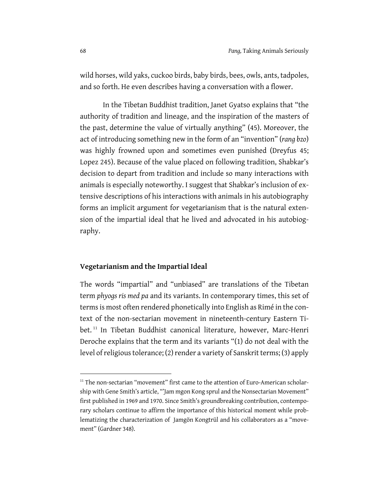wild horses, wild yaks, cuckoo birds, baby birds, bees, owls, ants, tadpoles, and so forth. He even describes having a conversation with a flower.

In the Tibetan Buddhist tradition, Janet Gyatso explains that "the authority of tradition and lineage, and the inspiration of the masters of the past, determine the value of virtually anything" (45). Moreover, the act of introducing something new in the form of an "invention" (*rang bzo*) was highly frowned upon and sometimes even punished (Dreyfus 45; Lopez 245). Because of the value placed on following tradition, Shabkar's decision to depart from tradition and include so many interactions with animals is especially noteworthy. I suggest that Shabkar's inclusion of extensive descriptions of his interactions with animals in his autobiography forms an implicit argument for vegetarianism that is the natural extension of the impartial ideal that he lived and advocated in his autobiography.

#### **Vegetarianism and the Impartial Ideal**

The words "impartial" and "unbiased" are translations of the Tibetan term *phyogs ris med pa* and its variants. In contemporary times, this set of terms is most often rendered phonetically into English as Rimé in the context of the non-sectarian movement in nineteenth-century Eastern Tibet.<sup>11</sup> In Tibetan Buddhist canonical literature, however, Marc-Henri Deroche explains that the term and its variants "(1) do not deal with the level of religious tolerance; (2) render a variety of Sanskrit terms; (3) apply

 $11$  The non-sectarian "movement" first came to the attention of Euro-American scholarship with Gene Smith's article, "'Jam mgon Kong sprul and the Nonsectarian Movement" first published in 1969 and 1970. Since Smith's groundbreaking contribution, contemporary scholars continue to affirm the importance of this historical moment while problematizing the characterization of Jamgön Kongtrül and his collaborators as a "movement" (Gardner 348).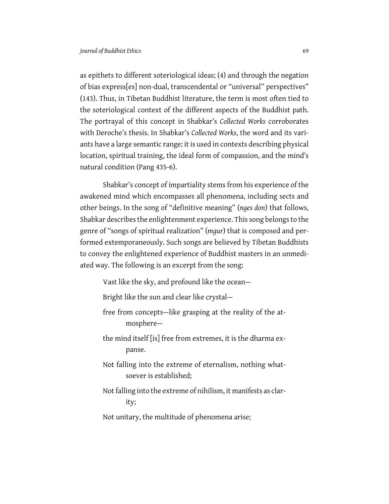as epithets to different soteriological ideas; (4) and through the negation of bias express[es] non-dual, transcendental or "universal" perspectives" (143). Thus, in Tibetan Buddhist literature, the term is most often tied to the soteriological context of the different aspects of the Buddhist path. The portrayal of this concept in Shabkar's *Collected Works* corroborates with Deroche's thesis. In Shabkar's *Collected Works*, the word and its variants have a large semantic range; it is used in contexts describing physical location, spiritual training, the ideal form of compassion, and the mind's natural condition (Pang 435-6).

Shabkar's concept of impartiality stems from his experience of the awakened mind which encompasses all phenomena, including sects and other beings. In the song of "definitive meaning" (*nges don*) that follows, Shabkar describes the enlightenment experience. This song belongs to the genre of "songs of spiritual realization" (*mgur*) that is composed and performed extemporaneously. Such songs are believed by Tibetan Buddhists to convey the enlightened experience of Buddhist masters in an unmediated way. The following is an excerpt from the song:

Vast like the sky, and profound like the ocean—

Bright like the sun and clear like crystal—

free from concepts—like grasping at the reality of the atmosphere—

the mind itself [is] free from extremes, it is the dharma expanse.

Not falling into the extreme of eternalism, nothing whatsoever is established;

Not falling into the extreme of nihilism, it manifests as clarity;

Not unitary, the multitude of phenomena arise;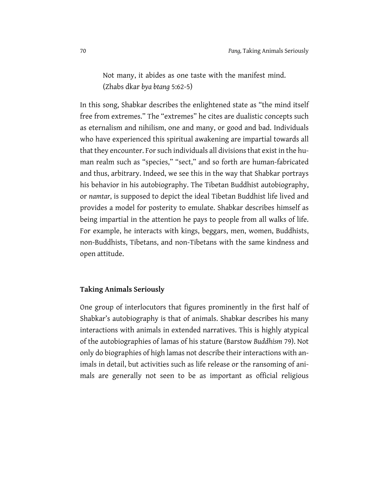Not many, it abides as one taste with the manifest mind. (Zhabs dkar *bya btang* 5:62-5)

In this song, Shabkar describes the enlightened state as "the mind itself free from extremes." The "extremes" he cites are dualistic concepts such as eternalism and nihilism, one and many, or good and bad. Individuals who have experienced this spiritual awakening are impartial towards all that they encounter. For such individuals all divisions that exist in the human realm such as "species," "sect," and so forth are human-fabricated and thus, arbitrary. Indeed, we see this in the way that Shabkar portrays his behavior in his autobiography. The Tibetan Buddhist autobiography, or *namtar*, is supposed to depict the ideal Tibetan Buddhist life lived and provides a model for posterity to emulate. Shabkar describes himself as being impartial in the attention he pays to people from all walks of life. For example, he interacts with kings, beggars, men, women, Buddhists, non-Buddhists, Tibetans, and non-Tibetans with the same kindness and open attitude.

#### **Taking Animals Seriously**

One group of interlocutors that figures prominently in the first half of Shabkar's autobiography is that of animals. Shabkar describes his many interactions with animals in extended narratives. This is highly atypical of the autobiographies of lamas of his stature (Barstow *Buddhism* 79). Not only do biographies of high lamas not describe their interactions with animals in detail, but activities such as life release or the ransoming of animals are generally not seen to be as important as official religious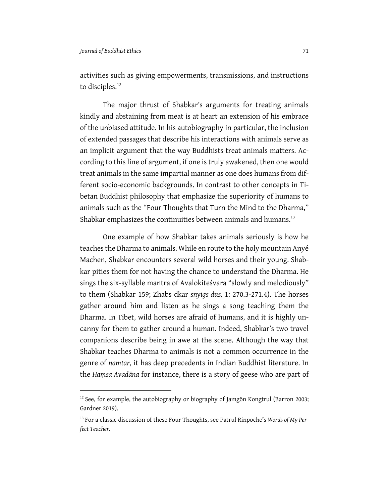activities such as giving empowerments, transmissions, and instructions to disciples.<sup>12</sup>

The major thrust of Shabkar's arguments for treating animals kindly and abstaining from meat is at heart an extension of his embrace of the unbiased attitude. In his autobiography in particular, the inclusion of extended passages that describe his interactions with animals serve as an implicit argument that the way Buddhists treat animals matters. According to this line of argument, if one is truly awakened, then one would treat animals in the same impartial manner as one does humans from different socio-economic backgrounds. In contrast to other concepts in Tibetan Buddhist philosophy that emphasize the superiority of humans to animals such as the "Four Thoughts that Turn the Mind to the Dharma," Shabkar emphasizes the continuities between animals and humans.<sup>13</sup>

One example of how Shabkar takes animals seriously is how he teaches the Dharma to animals. While en route to the holy mountain Anyé Machen, Shabkar encounters several wild horses and their young. Shabkar pities them for not having the chance to understand the Dharma. He sings the six-syllable mantra of Avalokiteśvara "slowly and melodiously" to them (Shabkar 159; Zhabs dkar *snyigs dus,* 1: 270.3-271.4). The horses gather around him and listen as he sings a song teaching them the Dharma. In Tibet, wild horses are afraid of humans, and it is highly uncanny for them to gather around a human. Indeed, Shabkar's two travel companions describe being in awe at the scene. Although the way that Shabkar teaches Dharma to animals is not a common occurrence in the genre of *namtar*, it has deep precedents in Indian Buddhist literature. In the *Haṃsa Avadāna* for instance, there is a story of geese who are part of

<sup>&</sup>lt;sup>12</sup> See, for example, the autobiography or biography of Jamgön Kongtrul (Barron 2003; Gardner 2019).

<sup>13</sup> For a classic discussion of these Four Thoughts, see Patrul Rinpoche's *Words of My Perfect Teacher*.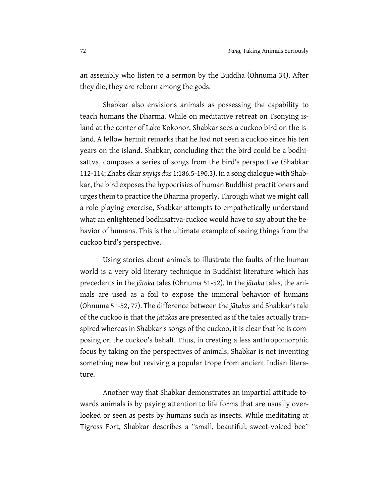an assembly who listen to a sermon by the Buddha (Ohnuma 34). After they die, they are reborn among the gods.

Shabkar also envisions animals as possessing the capability to teach humans the Dharma. While on meditative retreat on Tsonying island at the center of Lake Kokonor, Shabkar sees a cuckoo bird on the island. A fellow hermit remarks that he had not seen a cuckoo since his ten years on the island. Shabkar, concluding that the bird could be a bodhisattva, composes a series of songs from the bird's perspective (Shabkar 112-114; Zhabs dkar *snyigs dus* 1:186.5-190.3). In a song dialogue with Shabkar, the bird exposes the hypocrisies of human Buddhist practitioners and urges them to practice the Dharma properly. Through what we might call a role-playing exercise, Shabkar attempts to empathetically understand what an enlightened bodhisattva-cuckoo would have to say about the behavior of humans. This is the ultimate example of seeing things from the cuckoo bird's perspective.

Using stories about animals to illustrate the faults of the human world is a very old literary technique in Buddhist literature which has precedents in the *jātaka* tales (Ohnuma 51-52). In the *jātaka* tales, the animals are used as a foil to expose the immoral behavior of humans (Ohnuma 51-52, 77). The difference between the *jātakas* and Shabkar's tale of the cuckoo is that the *jātakas* are presented as if the tales actually transpired whereas in Shabkar's songs of the cuckoo, it is clear that he is composing on the cuckoo's behalf. Thus, in creating a less anthropomorphic focus by taking on the perspectives of animals, Shabkar is not inventing something new but reviving a popular trope from ancient Indian literature.

Another way that Shabkar demonstrates an impartial attitude towards animals is by paying attention to life forms that are usually overlooked or seen as pests by humans such as insects. While meditating at Tigress Fort, Shabkar describes a "small, beautiful, sweet-voiced bee"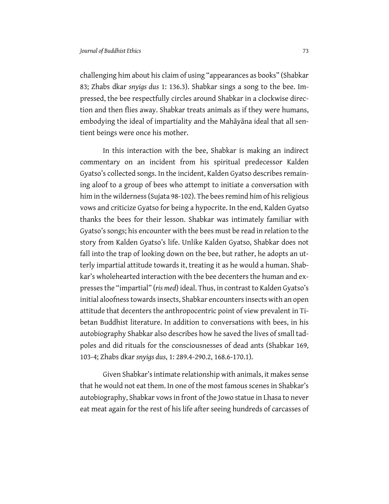challenging him about his claim of using "appearances as books" (Shabkar 83; Zhabs dkar *snyigs dus* 1: 136.3). Shabkar sings a song to the bee. Impressed, the bee respectfully circles around Shabkar in a clockwise direction and then flies away. Shabkar treats animals as if they were humans, embodying the ideal of impartiality and the Mahāyāna ideal that all sentient beings were once his mother.

In this interaction with the bee, Shabkar is making an indirect commentary on an incident from his spiritual predecessor Kalden Gyatso's collected songs. In the incident, Kalden Gyatso describes remaining aloof to a group of bees who attempt to initiate a conversation with him in the wilderness (Sujata 98-102). The bees remind him of his religious vows and criticize Gyatso for being a hypocrite. In the end, Kalden Gyatso thanks the bees for their lesson. Shabkar was intimately familiar with Gyatso's songs; his encounter with the bees must be read in relation to the story from Kalden Gyatso's life. Unlike Kalden Gyatso, Shabkar does not fall into the trap of looking down on the bee, but rather, he adopts an utterly impartial attitude towards it, treating it as he would a human. Shabkar's wholehearted interaction with the bee decenters the human and expresses the "impartial" (*ris med*) ideal. Thus, in contrast to Kalden Gyatso's initial aloofness towards insects, Shabkar encounters insects with an open attitude that decenters the anthropocentric point of view prevalent in Tibetan Buddhist literature. In addition to conversations with bees, in his autobiography Shabkar also describes how he saved the lives of small tadpoles and did rituals for the consciousnesses of dead ants (Shabkar 169, 103-4; Zhabs dkar *snyigs dus*, 1: 289.4-290.2, 168.6-170.1).

Given Shabkar's intimate relationship with animals, it makes sense that he would not eat them. In one of the most famous scenes in Shabkar's autobiography, Shabkar vows in front of the Jowo statue in Lhasa to never eat meat again for the rest of his life after seeing hundreds of carcasses of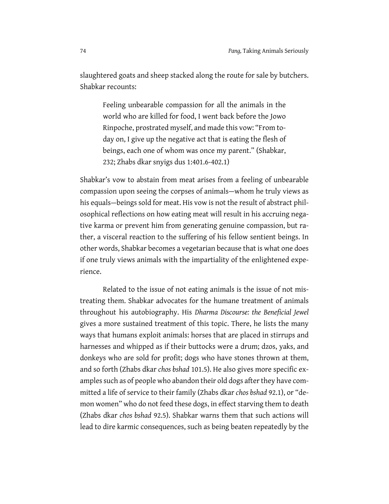slaughtered goats and sheep stacked along the route for sale by butchers. Shabkar recounts:

Feeling unbearable compassion for all the animals in the world who are killed for food, I went back before the Jowo Rinpoche, prostrated myself, and made this vow: "From today on, I give up the negative act that is eating the flesh of beings, each one of whom was once my parent." (Shabkar, 232; Zhabs dkar snyigs dus 1:401.6-402.1)

Shabkar's vow to abstain from meat arises from a feeling of unbearable compassion upon seeing the corpses of animals—whom he truly views as his equals—beings sold for meat. His vow is not the result of abstract philosophical reflections on how eating meat will result in his accruing negative karma or prevent him from generating genuine compassion, but rather, a visceral reaction to the suffering of his fellow sentient beings. In other words, Shabkar becomes a vegetarian because that is what one does if one truly views animals with the impartiality of the enlightened experience.

Related to the issue of not eating animals is the issue of not mistreating them. Shabkar advocates for the humane treatment of animals throughout his autobiography. His *Dharma Discourse: the Beneficial Jewel* gives a more sustained treatment of this topic. There, he lists the many ways that humans exploit animals: horses that are placed in stirrups and harnesses and whipped as if their buttocks were a drum; dzos, yaks, and donkeys who are sold for profit; dogs who have stones thrown at them, and so forth (Zhabs dkar *chos bshad* 101.5). He also gives more specific examples such as of people who abandon their old dogs after they have committed a life of service to their family (Zhabs dkar *chos bshad* 92.1), or "demon women" who do not feed these dogs, in effect starving them to death (Zhabs dkar *chos bshad* 92.5). Shabkar warns them that such actions will lead to dire karmic consequences, such as being beaten repeatedly by the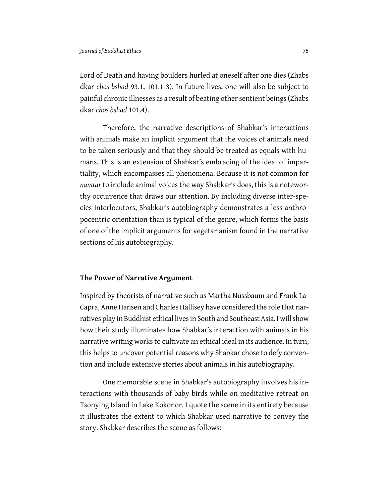Lord of Death and having boulders hurled at oneself after one dies (Zhabs dkar *chos bshad* 93.1, 101.1-3). In future lives, one will also be subject to painful chronic illnesses as a result of beating other sentient beings (Zhabs dkar *chos bshad* 101.4).

Therefore, the narrative descriptions of Shabkar's interactions with animals make an implicit argument that the voices of animals need to be taken seriously and that they should be treated as equals with humans. This is an extension of Shabkar's embracing of the ideal of impartiality, which encompasses all phenomena. Because it is not common for *namtar* to include animal voices the way Shabkar's does, this is a noteworthy occurrence that draws our attention. By including diverse inter-species interlocutors, Shabkar's autobiography demonstrates a less anthropocentric orientation than is typical of the genre, which forms the basis of one of the implicit arguments for vegetarianism found in the narrative sections of his autobiography.

#### **The Power of Narrative Argument**

Inspired by theorists of narrative such as Martha Nussbaum and Frank La-Capra, Anne Hansen and Charles Hallisey have considered the role that narratives play in Buddhist ethical lives in South and Southeast Asia. I will show how their study illuminates how Shabkar's interaction with animals in his narrative writing works to cultivate an ethical ideal in its audience. In turn, this helps to uncover potential reasons why Shabkar chose to defy convention and include extensive stories about animals in his autobiography.

One memorable scene in Shabkar's autobiography involves his interactions with thousands of baby birds while on meditative retreat on Tsonying Island in Lake Kokonor. I quote the scene in its entirety because it illustrates the extent to which Shabkar used narrative to convey the story. Shabkar describes the scene as follows: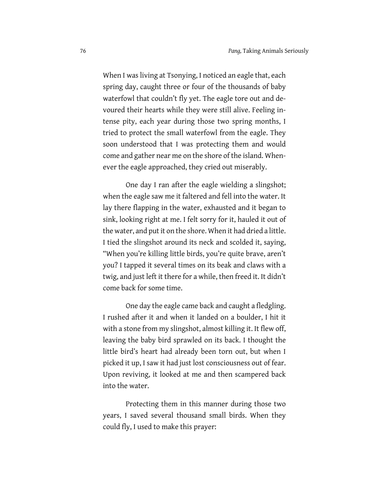When I was living at Tsonying, I noticed an eagle that, each spring day, caught three or four of the thousands of baby waterfowl that couldn't fly yet. The eagle tore out and devoured their hearts while they were still alive. Feeling intense pity, each year during those two spring months, I tried to protect the small waterfowl from the eagle. They soon understood that I was protecting them and would come and gather near me on the shore of the island. Whenever the eagle approached, they cried out miserably.

One day I ran after the eagle wielding a slingshot; when the eagle saw me it faltered and fell into the water. It lay there flapping in the water, exhausted and it began to sink, looking right at me. I felt sorry for it, hauled it out of the water, and put it on the shore. When it had dried a little. I tied the slingshot around its neck and scolded it, saying, "When you're killing little birds, you're quite brave, aren't you? I tapped it several times on its beak and claws with a twig, and just left it there for a while, then freed it. It didn't come back for some time.

One day the eagle came back and caught a fledgling. I rushed after it and when it landed on a boulder, I hit it with a stone from my slingshot, almost killing it. It flew off, leaving the baby bird sprawled on its back. I thought the little bird's heart had already been torn out, but when I picked it up, I saw it had just lost consciousness out of fear. Upon reviving, it looked at me and then scampered back into the water.

Protecting them in this manner during those two years, I saved several thousand small birds. When they could fly, I used to make this prayer: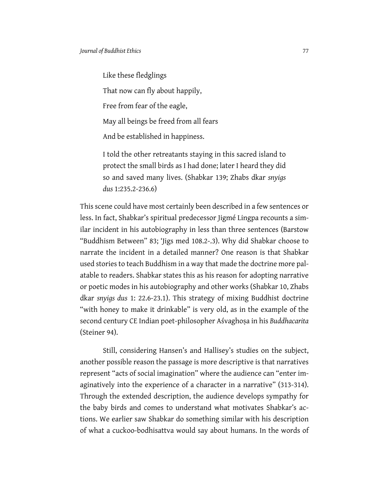Like these fledglings

That now can fly about happily,

Free from fear of the eagle,

May all beings be freed from all fears

And be established in happiness.

I told the other retreatants staying in this sacred island to protect the small birds as I had done; later I heard they did so and saved many lives. (Shabkar 139; Zhabs dkar *snyigs dus* 1:235.2-236.6)

This scene could have most certainly been described in a few sentences or less. In fact, Shabkar's spiritual predecessor Jigmé Lingpa recounts a similar incident in his autobiography in less than three sentences (Barstow "Buddhism Between" 83; 'Jigs med 108.2-.3). Why did Shabkar choose to narrate the incident in a detailed manner? One reason is that Shabkar used stories to teach Buddhism in a way that made the doctrine more palatable to readers. Shabkar states this as his reason for adopting narrative or poetic modes in his autobiography and other works (Shabkar 10, Zhabs dkar *snyigs dus* 1: 22.6-23.1). This strategy of mixing Buddhist doctrine "with honey to make it drinkable" is very old, as in the example of the second century CE Indian poet-philosopher Aśvaghoṣa in his *Buddhacarita* (Steiner 94).

Still, considering Hansen's and Hallisey's studies on the subject, another possible reason the passage is more descriptive is that narratives represent "acts of social imagination" where the audience can "enter imaginatively into the experience of a character in a narrative" (313-314). Through the extended description, the audience develops sympathy for the baby birds and comes to understand what motivates Shabkar's actions. We earlier saw Shabkar do something similar with his description of what a cuckoo-bodhisattva would say about humans. In the words of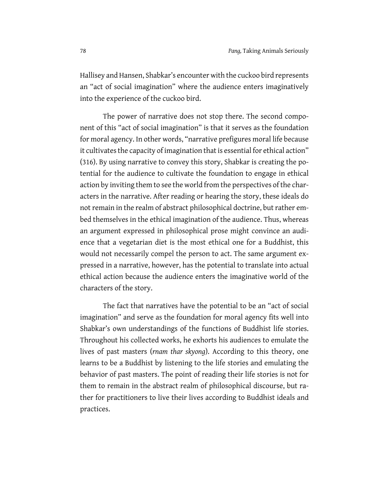Hallisey and Hansen, Shabkar's encounter with the cuckoo bird represents an "act of social imagination" where the audience enters imaginatively into the experience of the cuckoo bird.

The power of narrative does not stop there. The second component of this "act of social imagination" is that it serves as the foundation for moral agency. In other words, "narrative prefigures moral life because it cultivates the capacity of imagination that is essential for ethical action" (316). By using narrative to convey this story, Shabkar is creating the potential for the audience to cultivate the foundation to engage in ethical action by inviting them to see the world from the perspectives of the characters in the narrative. After reading or hearing the story, these ideals do not remain in the realm of abstract philosophical doctrine, but rather embed themselves in the ethical imagination of the audience. Thus, whereas an argument expressed in philosophical prose might convince an audience that a vegetarian diet is the most ethical one for a Buddhist, this would not necessarily compel the person to act. The same argument expressed in a narrative, however, has the potential to translate into actual ethical action because the audience enters the imaginative world of the characters of the story.

The fact that narratives have the potential to be an "act of social imagination" and serve as the foundation for moral agency fits well into Shabkar's own understandings of the functions of Buddhist life stories. Throughout his collected works, he exhorts his audiences to emulate the lives of past masters (*rnam thar skyong*). According to this theory, one learns to be a Buddhist by listening to the life stories and emulating the behavior of past masters. The point of reading their life stories is not for them to remain in the abstract realm of philosophical discourse, but rather for practitioners to live their lives according to Buddhist ideals and practices.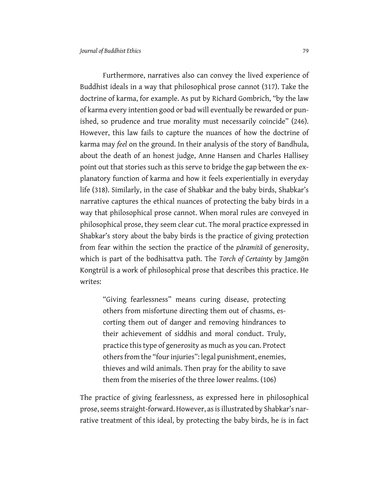Furthermore, narratives also can convey the lived experience of Buddhist ideals in a way that philosophical prose cannot (317). Take the doctrine of karma, for example. As put by Richard Gombrich, "by the law of karma every intention good or bad will eventually be rewarded or punished, so prudence and true morality must necessarily coincide" (246). However, this law fails to capture the nuances of how the doctrine of karma may *feel* on the ground. In their analysis of the story of Bandhula, about the death of an honest judge, Anne Hansen and Charles Hallisey point out that stories such as this serve to bridge the gap between the explanatory function of karma and how it feels experientially in everyday life (318). Similarly, in the case of Shabkar and the baby birds, Shabkar's narrative captures the ethical nuances of protecting the baby birds in a way that philosophical prose cannot. When moral rules are conveyed in philosophical prose, they seem clear cut. The moral practice expressed in Shabkar's story about the baby birds is the practice of giving protection from fear within the section the practice of the *pāramitā* of generosity, which is part of the bodhisattva path. The *Torch of Certainty* by Jamgön Kongtrül is a work of philosophical prose that describes this practice. He writes:

"Giving fearlessness" means curing disease, protecting others from misfortune directing them out of chasms, escorting them out of danger and removing hindrances to their achievement of siddhis and moral conduct. Truly, practice this type of generosity as much as you can. Protect others from the "four injuries": legal punishment, enemies, thieves and wild animals. Then pray for the ability to save them from the miseries of the three lower realms. (106)

The practice of giving fearlessness, as expressed here in philosophical prose, seems straight-forward. However, as is illustrated by Shabkar's narrative treatment of this ideal, by protecting the baby birds, he is in fact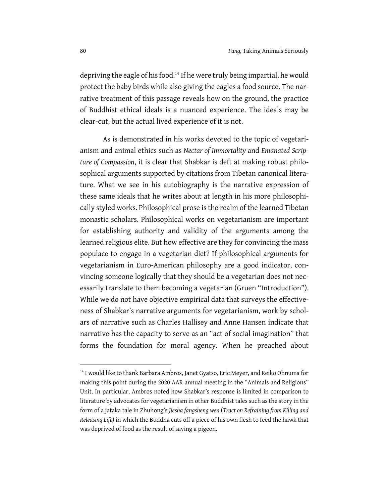depriving the eagle of his food.<sup>14</sup> If he were truly being impartial, he would protect the baby birds while also giving the eagles a food source. The narrative treatment of this passage reveals how on the ground, the practice of Buddhist ethical ideals is a nuanced experience. The ideals may be clear-cut, but the actual lived experience of it is not.

As is demonstrated in his works devoted to the topic of vegetarianism and animal ethics such as *Nectar of Immortality* and *Emanated Scripture of Compassion*, it is clear that Shabkar is deft at making robust philosophical arguments supported by citations from Tibetan canonical literature. What we see in his autobiography is the narrative expression of these same ideals that he writes about at length in his more philosophically styled works. Philosophical prose is the realm of the learned Tibetan monastic scholars. Philosophical works on vegetarianism are important for establishing authority and validity of the arguments among the learned religious elite. But how effective are they for convincing the mass populace to engage in a vegetarian diet? If philosophical arguments for vegetarianism in Euro-American philosophy are a good indicator, convincing someone logically that they should be a vegetarian does not necessarily translate to them becoming a vegetarian (Gruen "Introduction"). While we do not have objective empirical data that surveys the effectiveness of Shabkar's narrative arguments for vegetarianism, work by scholars of narrative such as Charles Hallisey and Anne Hansen indicate that narrative has the capacity to serve as an "act of social imagination" that forms the foundation for moral agency. When he preached about

<sup>&</sup>lt;sup>14</sup> I would like to thank Barbara Ambros, Janet Gyatso, Eric Meyer, and Reiko Ohnuma for making this point during the 2020 AAR annual meeting in the "Animals and Religions" Unit. In particular, Ambros noted how Shabkar's response is limited in comparison to literature by advocates for vegetarianism in other Buddhist tales such as the story in the form of a jataka tale in Zhuhong's *Jiesha fangsheng wen* (*Tract on Refraining from Killing and Releasing Life*) in which the Buddha cuts off a piece of his own flesh to feed the hawk that was deprived of food as the result of saving a pigeon.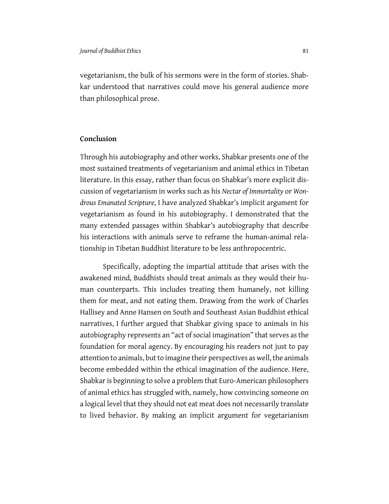vegetarianism, the bulk of his sermons were in the form of stories. Shabkar understood that narratives could move his general audience more than philosophical prose.

#### **Conclusion**

Through his autobiography and other works, Shabkar presents one of the most sustained treatments of vegetarianism and animal ethics in Tibetan literature. In this essay, rather than focus on Shabkar's more explicit discussion of vegetarianism in works such as his *Nectar of Immortality* or *Wondrous Emanated Scripture*, I have analyzed Shabkar's implicit argument for vegetarianism as found in his autobiography. I demonstrated that the many extended passages within Shabkar's autobiography that describe his interactions with animals serve to reframe the human-animal relationship in Tibetan Buddhist literature to be less anthropocentric.

Specifically, adopting the impartial attitude that arises with the awakened mind, Buddhists should treat animals as they would their human counterparts. This includes treating them humanely, not killing them for meat, and not eating them. Drawing from the work of Charles Hallisey and Anne Hansen on South and Southeast Asian Buddhist ethical narratives, I further argued that Shabkar giving space to animals in his autobiography represents an "act of social imagination" that serves as the foundation for moral agency. By encouraging his readers not just to pay attention to animals, but to imagine their perspectives as well, the animals become embedded within the ethical imagination of the audience. Here, Shabkar is beginning to solve a problem that Euro-American philosophers of animal ethics has struggled with, namely, how convincing someone on a logical level that they should not eat meat does not necessarily translate to lived behavior. By making an implicit argument for vegetarianism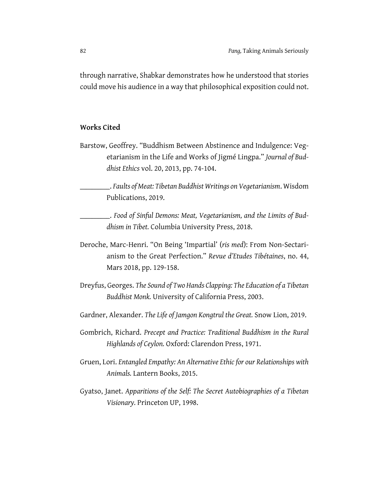through narrative, Shabkar demonstrates how he understood that stories could move his audience in a way that philosophical exposition could not.

## **Works Cited**

Barstow, Geoffrey. "Buddhism Between Abstinence and Indulgence: Vegetarianism in the Life and Works of Jigmé Lingpa." *Journal of Buddhist Ethics* vol. 20, 2013, pp. 74-104.

\_\_\_\_\_\_\_\_\_\_. *Faults of Meat: Tibetan Buddhist Writings on Vegetarianism*. Wisdom Publications, 2019.

\_\_\_\_\_\_\_\_\_\_. *Food of Sinful Demons: Meat, Vegetarianism, and the Limits of Buddhism in Tibet.* Columbia University Press, 2018.

- Deroche, Marc-Henri. "On Being 'Impartial' (*ris med*): From Non-Sectarianism to the Great Perfection." *Revue d'Etudes Tibétaines*, no. 44, Mars 2018, pp. 129-158.
- Dreyfus, Georges. *The Sound of Two Hands Clapping: The Education of a Tibetan Buddhist Monk.* University of California Press, 2003.
- Gardner, Alexander. *The Life of Jamgon Kongtrul the Great.* Snow Lion, 2019.
- Gombrich, Richard. *Precept and Practice: Traditional Buddhism in the Rural Highlands of Ceylon.* Oxford: Clarendon Press, 1971.
- Gruen, Lori. *Entangled Empathy: An Alternative Ethic for our Relationships with Animals.* Lantern Books, 2015.
- Gyatso, Janet. *Apparitions of the Self: The Secret Autobiographies of a Tibetan Visionary.* Princeton UP, 1998.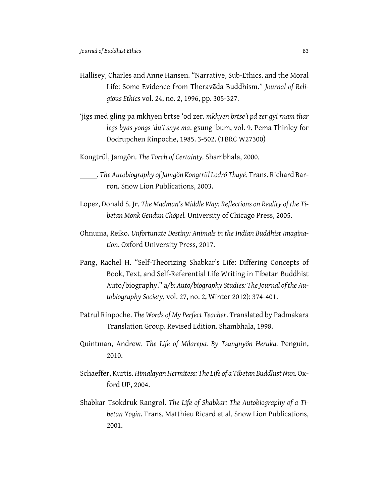- Hallisey, Charles and Anne Hansen. "Narrative, Sub-Ethics, and the Moral Life: Some Evidence from Theravāda Buddhism." *Journal of Religious Ethics* vol. 24, no. 2, 1996, pp. 305-327.
- 'jigs med gling pa mkhyen brtse 'od zer. *mkhyen brtse'i pd zer gyi rnam thar legs byas yongs 'du'i snye ma*. gsung 'bum, vol. 9. Pema Thinley for Dodrupchen Rinpoche, 1985. 3-502. (TBRC W27300)
- Kongtrül, Jamgön. *The Torch of Certainty.* Shambhala, 2000.

 . *The Autobiography of Jamgön Kongtrül Lodrö Thayé*. Trans. Richard Barron. Snow Lion Publications, 2003.

- Lopez, Donald S. Jr. *The Madman's Middle Way: Reflections on Reality of the Tibetan Monk Gendun Chöpel.* University of Chicago Press, 2005.
- Ohnuma, Reiko. *Unfortunate Destiny: Animals in the Indian Buddhist Imagination*. Oxford University Press, 2017.
- Pang, Rachel H. "Self-Theorizing Shabkar's Life: Differing Concepts of Book, Text, and Self-Referential Life Writing in Tibetan Buddhist Auto/biography." a*/b: Auto/biography Studies: The Journal of the Autobiography Society*, vol. 27, no. 2, Winter 2012): 374-401.
- Patrul Rinpoche. *The Words of My Perfect Teacher*. Translated by Padmakara Translation Group. Revised Edition. Shambhala, 1998.
- Quintman, Andrew. *The Life of Milarepa. By Tsangnyön Heruka.* Penguin, 2010.
- Schaeffer, Kurtis. *Himalayan Hermitess: The Life of a Tibetan Buddhist Nun.* Oxford UP, 2004.
- Shabkar Tsokdruk Rangrol. *The Life of Shabkar: The Autobiography of a Tibetan Yogin.* Trans. Matthieu Ricard et al. Snow Lion Publications, 2001.